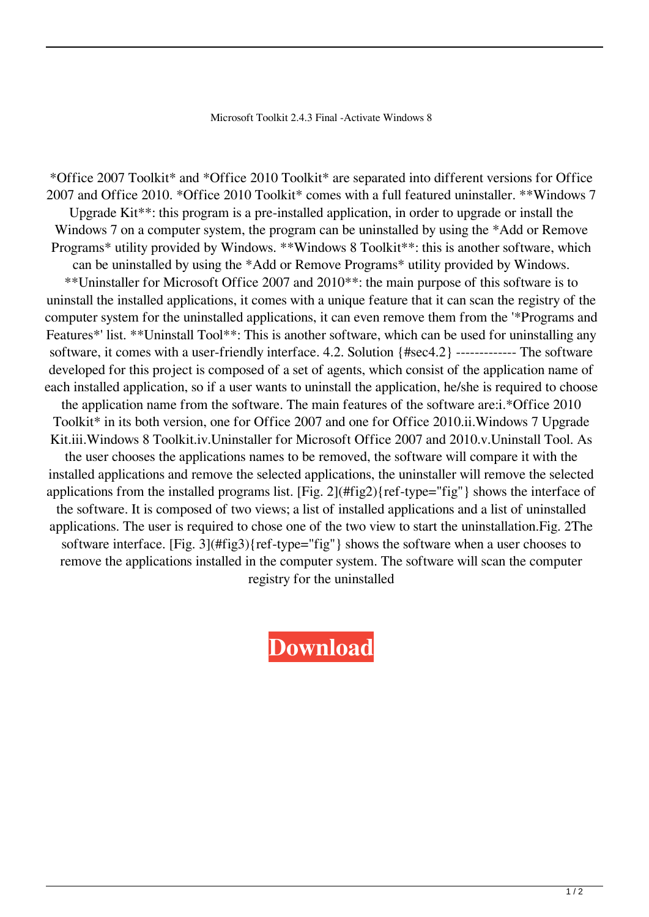Microsoft Toolkit 2.4.3 Final -Activate Windows 8

\*Office 2007 Toolkit\* and \*Office 2010 Toolkit\* are separated into different versions for Office 2007 and Office 2010. \*Office 2010 Toolkit\* comes with a full featured uninstaller. \*\*Windows 7 Upgrade Kit\*\*: this program is a pre-installed application, in order to upgrade or install the Windows 7 on a computer system, the program can be uninstalled by using the \*Add or Remove Programs\* utility provided by Windows. \*\*Windows 8 Toolkit\*\*: this is another software, which can be uninstalled by using the \*Add or Remove Programs\* utility provided by Windows. \*\*Uninstaller for Microsoft Office 2007 and 2010\*\*: the main purpose of this software is to uninstall the installed applications, it comes with a unique feature that it can scan the registry of the computer system for the uninstalled applications, it can even remove them from the '\*Programs and Features\*' list. \*\*Uninstall Tool\*\*: This is another software, which can be used for uninstalling any software, it comes with a user-friendly interface. 4.2. Solution {#sec4.2} ------------- The software developed for this project is composed of a set of agents, which consist of the application name of each installed application, so if a user wants to uninstall the application, he/she is required to choose the application name from the software. The main features of the software are:i.\*Office 2010 Toolkit\* in its both version, one for Office 2007 and one for Office 2010.ii.Windows 7 Upgrade Kit.iii.Windows 8 Toolkit.iv.Uninstaller for Microsoft Office 2007 and 2010.v.Uninstall Tool. As the user chooses the applications names to be removed, the software will compare it with the installed applications and remove the selected applications, the uninstaller will remove the selected applications from the installed programs list. [Fig. 2](#fig2){ref-type="fig"} shows the interface of the software. It is composed of two views; a list of installed applications and a list of uninstalled applications. The user is required to chose one of the two view to start the uninstallation.Fig. 2The software interface. [Fig. 3](#fig3){ref-type="fig"} shows the software when a user chooses to remove the applications installed in the computer system. The software will scan the computer registry for the uninstalled

**[Download](http://evacdir.com/generates/lessened/ricoh/hewitt.sportaerobics/TWljcm9zb2Z0IFRvb2xraXQgMi40LjMgRmluYWwgLUFjdGl2YXRlIFdpbmRvd3MgOATWl.ZG93bmxvYWR8VUw4TVhGcmNueDhNVFkxTWpRMk16QTFNSHg4TWpVM05IeDhLRTBwSUhKbFlXUXRZbXh2WnlCYlJtRnpkQ0JIUlU1ZA.undoing/)**